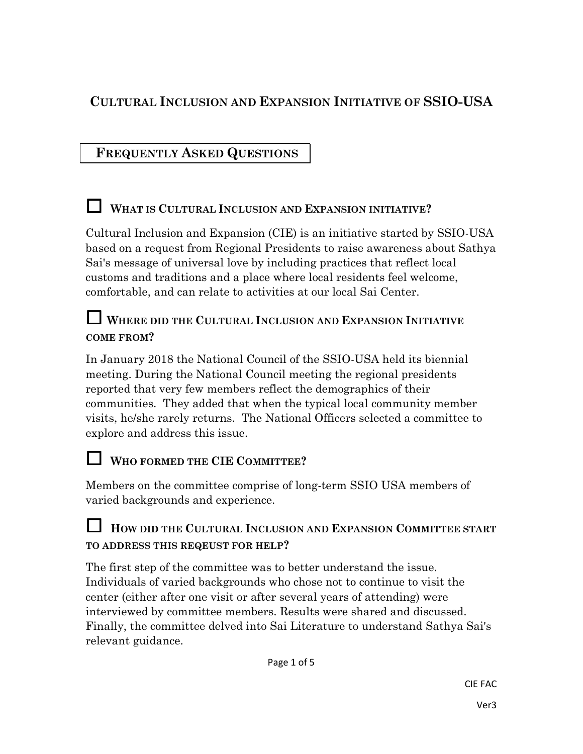# **CULTURAL INCLUSION AND EXPANSION INITIATIVE OF SSIO-USA**

# **FREQUENTLY ASKED QUESTIONS**

## **<sup>W</sup>HAT IS CULTURAL INCLUSION AND EXPANSION INITIATIVE?**

Cultural Inclusion and Expansion (CIE) is an initiative started by SSIO-USA based on a request from Regional Presidents to raise awareness about Sathya Sai's message of universal love by including practices that reflect local customs and traditions and a place where local residents feel welcome, comfortable, and can relate to activities at our local Sai Center.

#### **<sup>W</sup>HERE DID THE CULTURAL INCLUSION AND EXPANSION INITIATIVE COME FROM?**

In January 2018 the National Council of the SSIO-USA held its biennial meeting. During the National Council meeting the regional presidents reported that very few members reflect the demographics of their communities. They added that when the typical local community member visits, he/she rarely returns. The National Officers selected a committee to explore and address this issue.

# **<sup>W</sup>HO FORMED THE CIE <sup>C</sup>OMMITTEE?**

Members on the committee comprise of long-term SSIO USA members of varied backgrounds and experience.

#### **<sup>H</sup>OW DID THE CULTURAL INCLUSION AND EXPANSION COMMITTEE START TO ADDRESS THIS REQEUST FOR HELP?**

The first step of the committee was to better understand the issue. Individuals of varied backgrounds who chose not to continue to visit the center (either after one visit or after several years of attending) were interviewed by committee members. Results were shared and discussed. Finally, the committee delved into Sai Literature to understand Sathya Sai's relevant guidance.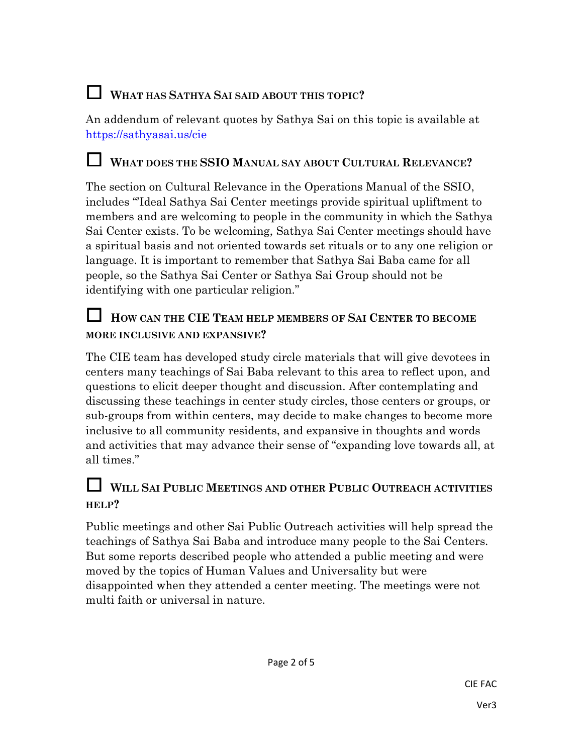# **<sup>W</sup>HAT HAS SATHYA SAI SAID ABOUT THIS TOPIC?**

An addendum of relevant quotes by Sathya Sai on this topic is available at https://sathyasai.us/cie

#### **<sup>W</sup>HAT DOES THE SSIO <sup>M</sup>ANUAL SAY ABOUT CULTURAL RELEVANCE?**

The section on Cultural Relevance in the Operations Manual of the SSIO, includes "'Ideal Sathya Sai Center meetings provide spiritual upliftment to members and are welcoming to people in the community in which the Sathya Sai Center exists. To be welcoming, Sathya Sai Center meetings should have a spiritual basis and not oriented towards set rituals or to any one religion or language. It is important to remember that Sathya Sai Baba came for all people, so the Sathya Sai Center or Sathya Sai Group should not be identifying with one particular religion."

#### **<sup>H</sup>OW CAN THE CIE <sup>T</sup>EAM HELP MEMBERS OF SAI CENTER TO BECOME MORE INCLUSIVE AND EXPANSIVE?**

The CIE team has developed study circle materials that will give devotees in centers many teachings of Sai Baba relevant to this area to reflect upon, and questions to elicit deeper thought and discussion. After contemplating and discussing these teachings in center study circles, those centers or groups, or sub-groups from within centers, may decide to make changes to become more inclusive to all community residents, and expansive in thoughts and words and activities that may advance their sense of "expanding love towards all, at all times."

#### **<sup>W</sup>ILL SAI PUBLIC MEETINGS AND OTHER PUBLIC OUTREACH ACTIVITIES HELP?**

Public meetings and other Sai Public Outreach activities will help spread the teachings of Sathya Sai Baba and introduce many people to the Sai Centers. But some reports described people who attended a public meeting and were moved by the topics of Human Values and Universality but were disappointed when they attended a center meeting. The meetings were not multi faith or universal in nature.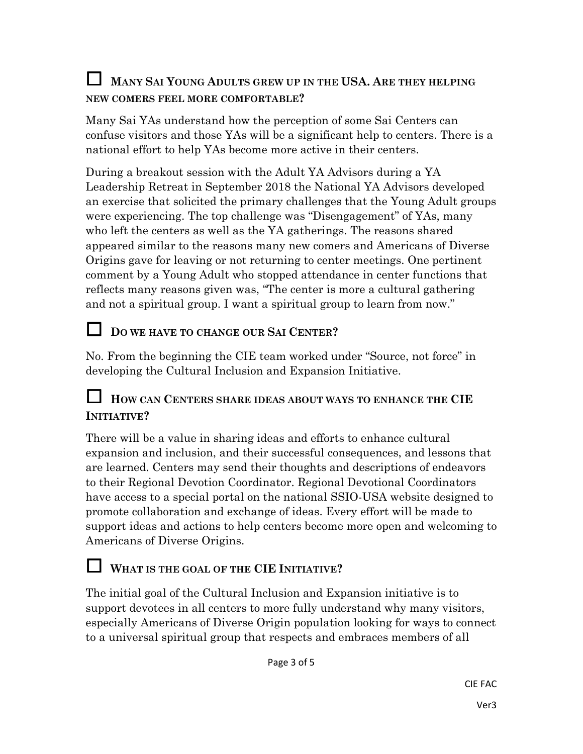## **<sup>M</sup>ANY SAI YOUNG ADULTS GREW UP IN THE USA. <sup>A</sup>RE THEY HELPING NEW COMERS FEEL MORE COMFORTABLE?**

Many Sai YAs understand how the perception of some Sai Centers can confuse visitors and those YAs will be a significant help to centers. There is a national effort to help YAs become more active in their centers.

During a breakout session with the Adult YA Advisors during a YA Leadership Retreat in September 2018 the National YA Advisors developed an exercise that solicited the primary challenges that the Young Adult groups were experiencing. The top challenge was "Disengagement" of YAs, many who left the centers as well as the YA gatherings. The reasons shared appeared similar to the reasons many new comers and Americans of Diverse Origins gave for leaving or not returning to center meetings. One pertinent comment by a Young Adult who stopped attendance in center functions that reflects many reasons given was, "The center is more a cultural gathering and not a spiritual group. I want a spiritual group to learn from now."

## **<sup>D</sup>O WE HAVE TO CHANGE OUR SAI CENTER?**

No. From the beginning the CIE team worked under "Source, not force" in developing the Cultural Inclusion and Expansion Initiative.

#### **<sup>H</sup>OW CAN CENTERS SHARE IDEAS ABOUT WAYS TO ENHANCE THE CIE INITIATIVE?**

There will be a value in sharing ideas and efforts to enhance cultural expansion and inclusion, and their successful consequences, and lessons that are learned. Centers may send their thoughts and descriptions of endeavors to their Regional Devotion Coordinator. Regional Devotional Coordinators have access to a special portal on the national SSIO-USA website designed to promote collaboration and exchange of ideas. Every effort will be made to support ideas and actions to help centers become more open and welcoming to Americans of Diverse Origins.

# **<sup>W</sup>HAT IS THE GOAL OF THE CIE <sup>I</sup>NITIATIVE?**

The initial goal of the Cultural Inclusion and Expansion initiative is to support devotees in all centers to more fully understand why many visitors, especially Americans of Diverse Origin population looking for ways to connect to a universal spiritual group that respects and embraces members of all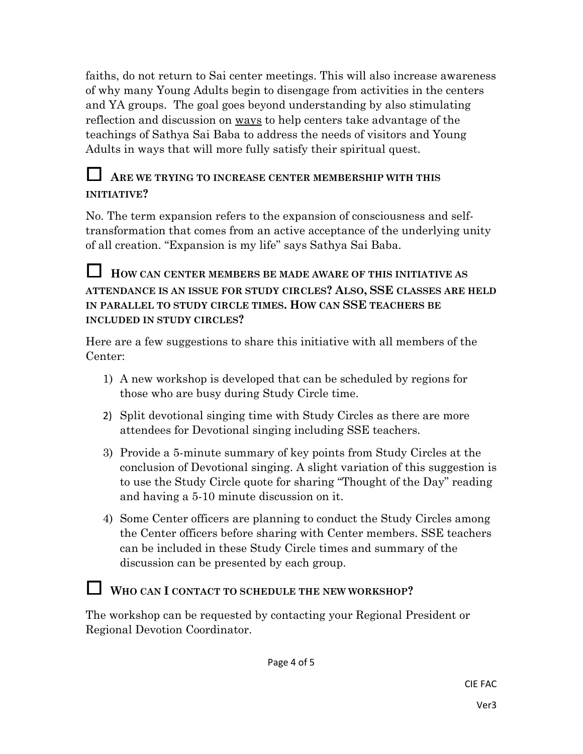faiths, do not return to Sai center meetings. This will also increase awareness of why many Young Adults begin to disengage from activities in the centers and YA groups. The goal goes beyond understanding by also stimulating reflection and discussion on ways to help centers take advantage of the teachings of Sathya Sai Baba to address the needs of visitors and Young Adults in ways that will more fully satisfy their spiritual quest.

## **<sup>A</sup>RE WE TRYING TO INCREASE CENTER MEMBERSHIP WITH THIS INITIATIVE?**

No. The term expansion refers to the expansion of consciousness and selftransformation that comes from an active acceptance of the underlying unity of all creation. "Expansion is my life" says Sathya Sai Baba.

#### **<sup>H</sup>OW CAN CENTER MEMBERS BE MADE AWARE OF THIS INITIATIVE AS ATTENDANCE IS AN ISSUE FOR STUDY CIRCLES? ALSO, SSE CLASSES ARE HELD IN PARALLEL TO STUDY CIRCLE TIMES. HOW CAN SSE TEACHERS BE INCLUDED IN STUDY CIRCLES?**

Here are a few suggestions to share this initiative with all members of the Center:

- 1) A new workshop is developed that can be scheduled by regions for those who are busy during Study Circle time.
- 2) Split devotional singing time with Study Circles as there are more attendees for Devotional singing including SSE teachers.
- 3) Provide a 5-minute summary of key points from Study Circles at the conclusion of Devotional singing. A slight variation of this suggestion is to use the Study Circle quote for sharing "Thought of the Day" reading and having a 5-10 minute discussion on it.
- 4) Some Center officers are planning to conduct the Study Circles among the Center officers before sharing with Center members. SSE teachers can be included in these Study Circle times and summary of the discussion can be presented by each group.

# **<sup>W</sup>HO CAN I CONTACT TO SCHEDULE THE NEW WORKSHOP?**

The workshop can be requested by contacting your Regional President or Regional Devotion Coordinator.